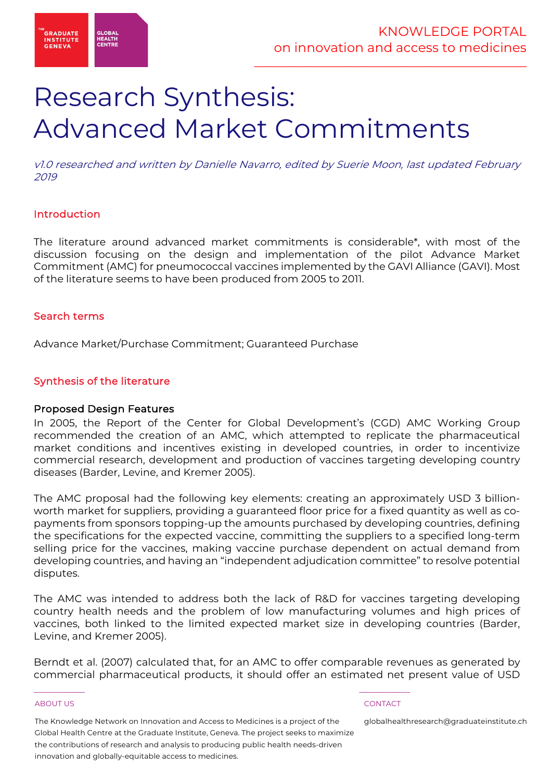

# Research Synthesis: Advanced Market Commitments

v1.0 researched and written by Danielle Navarro, edited by Suerie Moon, last updated February 2019

# Introduction

The literature around advanced market commitments is considerable\*, with most of the discussion focusing on the design and implementation of the pilot Advance Market Commitment (AMC) for pneumococcal vaccines implemented by the GAVI Alliance (GAVI). Most of the literature seems to have been produced from 2005 to 2011.

# Search terms

Advance Market/Purchase Commitment; Guaranteed Purchase

# Synthesis of the literature

# Proposed Design Features

In 2005, the Report of the Center for Global Development's (CGD) AMC Working Group recommended the creation of an AMC, which attempted to replicate the pharmaceutical market conditions and incentives existing in developed countries, in order to incentivize commercial research, development and production of vaccines targeting developing country diseases (Barder, Levine, and Kremer 2005).

The AMC proposal had the following key elements: creating an approximately USD 3 billionworth market for suppliers, providing a guaranteed floor price for a fixed quantity as well as copayments from sponsors topping-up the amounts purchased by developing countries, defining the specifications for the expected vaccine, committing the suppliers to a specified long-term selling price for the vaccines, making vaccine purchase dependent on actual demand from developing countries, and having an "independent adjudication committee" to resolve potential disputes.

The AMC was intended to address both the lack of R&D for vaccines targeting developing country health needs and the problem of low manufacturing volumes and high prices of vaccines, both linked to the limited expected market size in developing countries (Barder, Levine, and Kremer 2005).

Berndt et al. (2007) calculated that, for an AMC to offer comparable revenues as generated by commercial pharmaceutical products, it should offer an estimated net present value of USD

### ABOUT US AND LOCAL CONTACT AND LOCAL CONTACT AND LOCAL CONTACT CONTACT CONTACT AND LOCAL CONTACT CONTACT CONTACT

The Knowledge Network on Innovation and Access to Medicines is a project of the Global Health Centre at the Graduate Institute, Geneva. The project seeks to maximize the contributions of research and analysis to producing public health needs-driven innovation and globally-equitable access to medicines.

 $\frac{1}{2}$  , and the set of the set of the set of the set of the set of the set of the set of the set of the set of the set of the set of the set of the set of the set of the set of the set of the set of the set of the set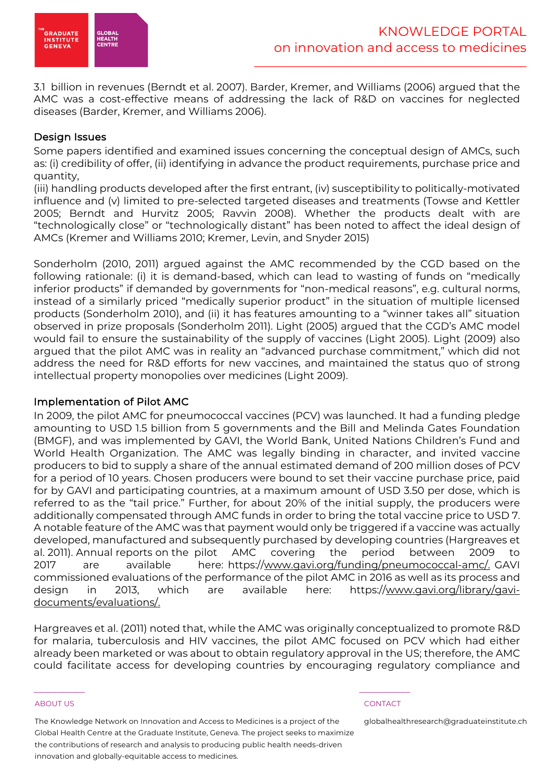

3.1 billion in revenues (Berndt et al. 2007). Barder, Kremer, and Williams (2006) argued that the AMC was a cost-effective means of addressing the lack of R&D on vaccines for neglected diseases (Barder, Kremer, and Williams 2006).

# Design Issues

Some papers identified and examined issues concerning the conceptual design of AMCs, such as: (i) credibility of offer, (ii) identifying in advance the product requirements, purchase price and quantity,

(iii) handling products developed after the first entrant, (iv) susceptibility to politically-motivated influence and (v) limited to pre-selected targeted diseases and treatments (Towse and Kettler 2005; Berndt and Hurvitz 2005; Ravvin 2008). Whether the products dealt with are "technologically close" or "technologically distant" has been noted to affect the ideal design of AMCs (Kremer and Williams 2010; Kremer, Levin, and Snyder 2015)

Sonderholm (2010, 2011) argued against the AMC recommended by the CGD based on the following rationale: (i) it is demand-based, which can lead to wasting of funds on "medically inferior products" if demanded by governments for "non-medical reasons", e.g. cultural norms, instead of a similarly priced "medically superior product" in the situation of multiple licensed products (Sonderholm 2010), and (ii) it has features amounting to a "winner takes all" situation observed in prize proposals (Sonderholm 2011). Light (2005) argued that the CGD's AMC model would fail to ensure the sustainability of the supply of vaccines (Light 2005). Light (2009) also argued that the pilot AMC was in reality an "advanced purchase commitment," which did not address the need for R&D efforts for new vaccines, and maintained the status quo of strong intellectual property monopolies over medicines (Light 2009).

# Implementation of Pilot AMC

In 2009, the pilot AMC for pneumococcal vaccines (PCV) was launched. It had a funding pledge amounting to USD 1.5 billion from 5 governments and the Bill and Melinda Gates Foundation (BMGF), and was implemented by GAVI, the World Bank, United Nations Children's Fund and World Health Organization. The AMC was legally binding in character, and invited vaccine producers to bid to supply a share of the annual estimated demand of 200 million doses of PCV for a period of 10 years. Chosen producers were bound to set their vaccine purchase price, paid for by GAVI and participating countries, at a maximum amount of USD 3.50 per dose, which is referred to as the "tail price." Further, for about 20% of the initial supply, the producers were additionally compensated through AMC funds in order to bring the total vaccine price to USD 7. A notable feature of the AMC was that payment would only be triggered if a vaccine was actually developed, manufactured and subsequently purchased by developing countries (Hargreaves et al. 2011). Annual reports on the pilot AMC covering the period between 2009 to 2017 are available here: https://www.gavi.org/funding/pneumococcal-amc/. GAVI commissioned evaluations of the performance of the pilot AMC in 2016 as well as its process and design in 2013, which are available here: https://www.gavi.org/library/gavidocuments/evaluations/.

Hargreaves et al. (2011) noted that, while the AMC was originally conceptualized to promote R&D for malaria, tuberculosis and HIV vaccines, the pilot AMC focused on PCV which had either already been marketed or was about to obtain regulatory approval in the US; therefore, the AMC could facilitate access for developing countries by encouraging regulatory compliance and

### ABOUT US CONTACT AND RESERVE THE RELEASE OF THE RELEASE OF THE RELEASE OF THE RELEASE OF THE RELEASE OF THE RELEASE OF THE RELEASE OF THE RELEASE OF THE RELEASE OF THE RELEASE OF THE RELEASE OF THE RELEASE OF THE RELEASE O

The Knowledge Network on Innovation and Access to Medicines is a project of the Global Health Centre at the Graduate Institute, Geneva. The project seeks to maximize the contributions of research and analysis to producing public health needs-driven innovation and globally-equitable access to medicines.

 $\frac{1}{2}$  , and the set of the set of the set of the set of the set of the set of the set of the set of the set of the set of the set of the set of the set of the set of the set of the set of the set of the set of the set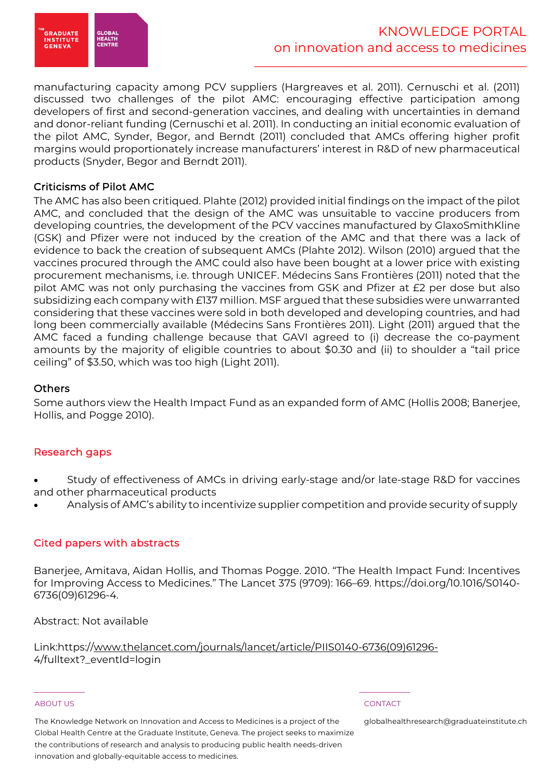

manufacturing capacity among PCV suppliers (Hargreaves et al. 2011). Cernuschi et al. (2011) discussed two challenges of the pilot AMC: encouraging effective participation among developers of first and second-generation vaccines, and dealing with uncertainties in demand and donor-reliant funding (Cernuschi et al. 2011). In conducting an initial economic evaluation of the pilot AMC, Synder, Begor, and Berndt (2011) concluded that AMCs offering higher profit margins would proportionately increase manufacturers' interest in R&D of new pharmaceutical products (Snyder, Begor and Berndt 2011).

# Criticisms of Pilot AMC

The AMC has also been critiqued. Plahte (2012) provided initial findings on the impact of the pilot AMC, and concluded that the design of the AMC was unsuitable to vaccine producers from developing countries, the development of the PCV vaccines manufactured by GlaxoSmithKline (GSK) and Pfizer were not induced by the creation of the AMC and that there was a lack of evidence to back the creation of subsequent AMCs (Plahte 2012). Wilson (2010) argued that the vaccines procured through the AMC could also have been bought at a lower price with existing procurement mechanisms, i.e. through UNICEF. Médecins Sans Frontières (2011) noted that the pilot AMC was not only purchasing the vaccines from GSK and Pfizer at £2 per dose but also subsidizing each company with £137 million. MSF argued that these subsidies were unwarranted considering that these vaccines were sold in both developed and developing countries, and had long been commercially available (Médecins Sans Frontières 2011). Light (2011) argued that the AMC faced a funding challenge because that GAVI agreed to (i) decrease the co-payment amounts by the majority of eligible countries to about \$0.30 and (ii) to shoulder a "tail price ceiling" of \$3.50, which was too high (Light 2011).

# **Others**

Some authors view the Health Impact Fund as an expanded form of AMC (Hollis 2008; Banerjee, Hollis, and Pogge 2010).

# Research gaps

- Study of effectiveness of AMCs in driving early-stage and/or late-stage R&D for vaccines and other pharmaceutical products
- Analysis of AMC's ability to incentivize supplier competition and provide security of supply

# Cited papers with abstracts

Banerjee, Amitava, Aidan Hollis, and Thomas Pogge. 2010. "The Health Impact Fund: Incentives for Improving Access to Medicines." The Lancet 375 (9709): 166–69. https://doi.org/10.1016/S0140- 6736(09)61296-4.

Abstract: Not available

Link:https://www.thelancet.com/journals/lancet/article/PIIS0140-6736(09)61296- 4/fulltext?\_eventId=login

 $\frac{1}{2}$  , and the set of the set of the set of the set of the set of the set of the set of the set of the set of the set of the set of the set of the set of the set of the set of the set of the set of the set of the set

### ABOUT US CONTACT AND RESERVE THE RELEASE OF THE RELEASE OF THE RELEASE OF THE RELEASE OF THE RELEASE OF THE RELEASE OF THE RELEASE OF THE RELEASE OF THE RELEASE OF THE RELEASE OF THE RELEASE OF THE RELEASE OF THE RELEASE O

The Knowledge Network on Innovation and Access to Medicines is a project of the Global Health Centre at the Graduate Institute, Geneva. The project seeks to maximize the contributions of research and analysis to producing public health needs-driven innovation and globally-equitable access to medicines.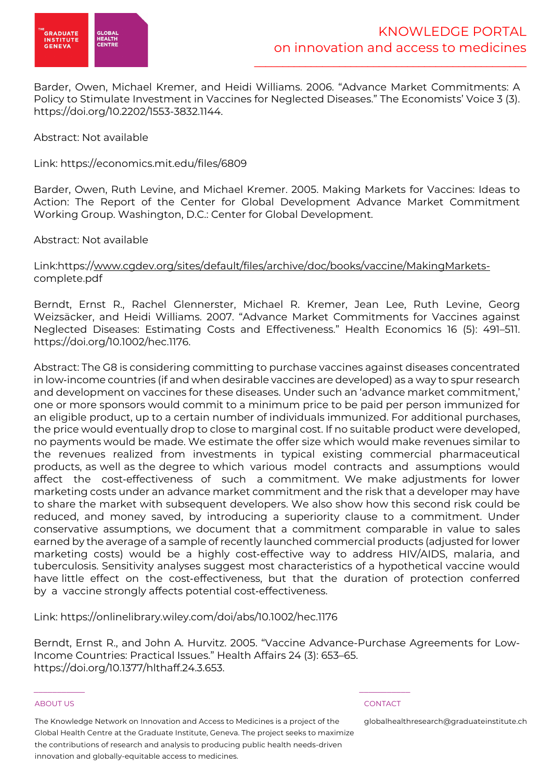

Barder, Owen, Michael Kremer, and Heidi Williams. 2006. "Advance Market Commitments: A Policy to Stimulate Investment in Vaccines for Neglected Diseases." The Economists' Voice 3 (3). https://doi.org/10.2202/1553-3832.1144.

# Abstract: Not available

Link: https://economics.mit.edu/files/6809

Barder, Owen, Ruth Levine, and Michael Kremer. 2005. Making Markets for Vaccines: Ideas to Action: The Report of the Center for Global Development Advance Market Commitment Working Group. Washington, D.C.: Center for Global Development.

# Abstract: Not available

# Link:https://www.cgdev.org/sites/default/files/archive/doc/books/vaccine/MakingMarketscomplete.pdf

Berndt, Ernst R., Rachel Glennerster, Michael R. Kremer, Jean Lee, Ruth Levine, Georg Weizsäcker, and Heidi Williams. 2007. "Advance Market Commitments for Vaccines against Neglected Diseases: Estimating Costs and Effectiveness." Health Economics 16 (5): 491–511. https://doi.org/10.1002/hec.1176.

Abstract: The G8 is considering committing to purchase vaccines against diseases concentrated in low-income countries (if and when desirable vaccines are developed) as a way to spur research and development on vaccines for these diseases. Under such an 'advance market commitment,' one or more sponsors would commit to a minimum price to be paid per person immunized for an eligible product, up to a certain number of individuals immunized. For additional purchases, the price would eventually drop to close to marginal cost. If no suitable product were developed, no payments would be made. We estimate the offer size which would make revenues similar to the revenues realized from investments in typical existing commercial pharmaceutical products, as well as the degree to which various model contracts and assumptions would affect the cost-effectiveness of such a commitment. We make adjustments for lower marketing costs under an advance market commitment and the risk that a developer may have to share the market with subsequent developers. We also show how this second risk could be reduced, and money saved, by introducing a superiority clause to a commitment. Under conservative assumptions, we document that a commitment comparable in value to sales earned by the average of a sample of recently launched commercial products (adjusted for lower marketing costs) would be a highly cost-effective way to address HIV/AIDS, malaria, and tuberculosis. Sensitivity analyses suggest most characteristics of a hypothetical vaccine would have little effect on the cost-effectiveness, but that the duration of protection conferred by a vaccine strongly affects potential cost-effectiveness.

Link: https://onlinelibrary.wiley.com/doi/abs/10.1002/hec.1176

Berndt, Ernst R., and John A. Hurvitz. 2005. "Vaccine Advance-Purchase Agreements for Low-Income Countries: Practical Issues." Health Affairs 24 (3): 653–65. https://doi.org/10.1377/hlthaff.24.3.653.

### ABOUT US CONTACT AND RESERVE THE RELEASE OF THE RELEASE OF THE RELEASE OF THE RELEASE OF THE RELEASE OF THE RELEASE OF THE RELEASE OF THE RELEASE OF THE RELEASE OF THE RELEASE OF THE RELEASE OF THE RELEASE OF THE RELEASE O

The Knowledge Network on Innovation and Access to Medicines is a project of the Global Health Centre at the Graduate Institute, Geneva. The project seeks to maximize the contributions of research and analysis to producing public health needs-driven innovation and globally-equitable access to medicines.

 $\frac{1}{2}$  , and the set of the set of the set of the set of the set of the set of the set of the set of the set of the set of the set of the set of the set of the set of the set of the set of the set of the set of the set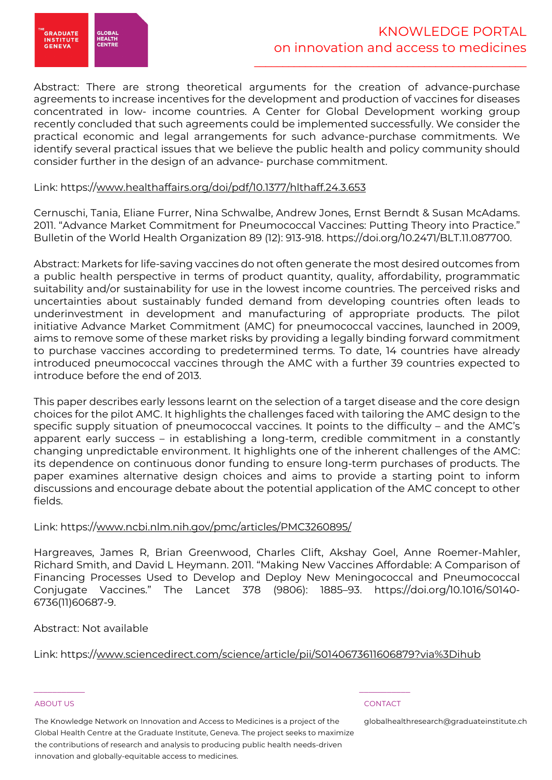

Abstract: There are strong theoretical arguments for the creation of advance-purchase agreements to increase incentives for the development and production of vaccines for diseases concentrated in low- income countries. A Center for Global Development working group recently concluded that such agreements could be implemented successfully. We consider the practical economic and legal arrangements for such advance-purchase commitments. We identify several practical issues that we believe the public health and policy community should consider further in the design of an advance- purchase commitment.

# Link: https://www.healthaffairs.org/doi/pdf/10.1377/hlthaff.24.3.653

Cernuschi, Tania, Eliane Furrer, Nina Schwalbe, Andrew Jones, Ernst Berndt & Susan McAdams. 2011. "Advance Market Commitment for Pneumococcal Vaccines: Putting Theory into Practice." Bulletin of the World Health Organization 89 (12): 913-918. https://doi.org/10.2471/BLT.11.087700.

Abstract: Markets for life-saving vaccines do not often generate the most desired outcomes from a public health perspective in terms of product quantity, quality, affordability, programmatic suitability and/or sustainability for use in the lowest income countries. The perceived risks and uncertainties about sustainably funded demand from developing countries often leads to underinvestment in development and manufacturing of appropriate products. The pilot initiative Advance Market Commitment (AMC) for pneumococcal vaccines, launched in 2009, aims to remove some of these market risks by providing a legally binding forward commitment to purchase vaccines according to predetermined terms. To date, 14 countries have already introduced pneumococcal vaccines through the AMC with a further 39 countries expected to introduce before the end of 2013.

This paper describes early lessons learnt on the selection of a target disease and the core design choices for the pilot AMC. It highlights the challenges faced with tailoring the AMC design to the specific supply situation of pneumococcal vaccines. It points to the difficulty – and the AMC's apparent early success – in establishing a long-term, credible commitment in a constantly changing unpredictable environment. It highlights one of the inherent challenges of the AMC: its dependence on continuous donor funding to ensure long-term purchases of products. The paper examines alternative design choices and aims to provide a starting point to inform discussions and encourage debate about the potential application of the AMC concept to other fields.

# Link: https://www.ncbi.nlm.nih.gov/pmc/articles/PMC3260895/

Hargreaves, James R, Brian Greenwood, Charles Clift, Akshay Goel, Anne Roemer-Mahler, Richard Smith, and David L Heymann. 2011. "Making New Vaccines Affordable: A Comparison of Financing Processes Used to Develop and Deploy New Meningococcal and Pneumococcal Conjugate Vaccines." The Lancet 378 (9806): 1885–93. https://doi.org/10.1016/S0140- 6736(11)60687-9.

# Abstract: Not available

# Link: https://www.sciencedirect.com/science/article/pii/S0140673611606879?via%3Dihub

### ABOUT US CONTACT AND RESERVE THE RELEASE OF THE RELEASE OF THE RELEASE OF THE RELEASE OF THE RELEASE OF THE RELEASE OF THE RELEASE OF THE RELEASE OF THE RELEASE OF THE RELEASE OF THE RELEASE OF THE RELEASE OF THE RELEASE O

The Knowledge Network on Innovation and Access to Medicines is a project of the Global Health Centre at the Graduate Institute, Geneva. The project seeks to maximize the contributions of research and analysis to producing public health needs-driven innovation and globally-equitable access to medicines.

 $\frac{1}{2}$  , and the set of the set of the set of the set of the set of the set of the set of the set of the set of the set of the set of the set of the set of the set of the set of the set of the set of the set of the set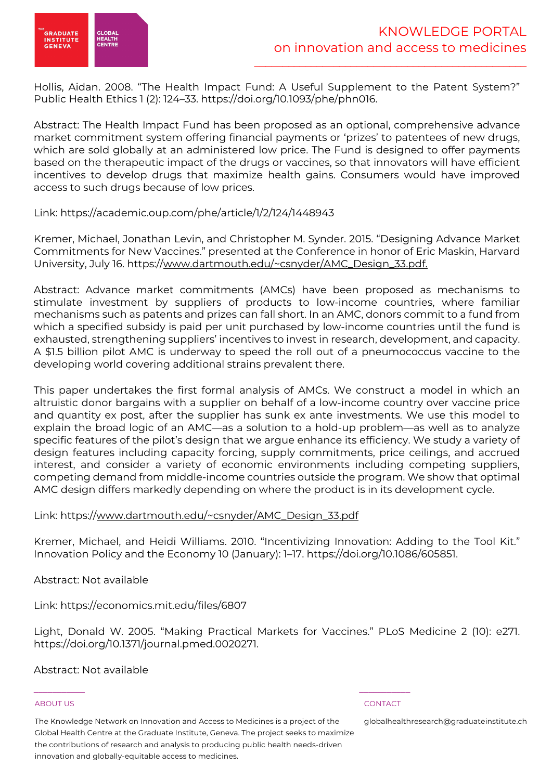



Hollis, Aidan. 2008. "The Health Impact Fund: A Useful Supplement to the Patent System?" Public Health Ethics 1 (2): 124–33. https://doi.org/10.1093/phe/phn016.

Abstract: The Health Impact Fund has been proposed as an optional, comprehensive advance market commitment system offering financial payments or 'prizes' to patentees of new drugs, which are sold globally at an administered low price. The Fund is designed to offer payments based on the therapeutic impact of the drugs or vaccines, so that innovators will have efficient incentives to develop drugs that maximize health gains. Consumers would have improved access to such drugs because of low prices.

# Link: https://academic.oup.com/phe/article/1/2/124/1448943

Kremer, Michael, Jonathan Levin, and Christopher M. Synder. 2015. "Designing Advance Market Commitments for New Vaccines." presented at the Conference in honor of Eric Maskin, Harvard University, July 16. https://www.dartmouth.edu/~csnyder/AMC\_Design\_33.pdf.

Abstract: Advance market commitments (AMCs) have been proposed as mechanisms to stimulate investment by suppliers of products to low-income countries, where familiar mechanisms such as patents and prizes can fall short. In an AMC, donors commit to a fund from which a specified subsidy is paid per unit purchased by low-income countries until the fund is exhausted, strengthening suppliers' incentives to invest in research, development, and capacity. A \$1.5 billion pilot AMC is underway to speed the roll out of a pneumococcus vaccine to the developing world covering additional strains prevalent there.

This paper undertakes the first formal analysis of AMCs. We construct a model in which an altruistic donor bargains with a supplier on behalf of a low-income country over vaccine price and quantity ex post, after the supplier has sunk ex ante investments. We use this model to explain the broad logic of an AMC—as a solution to a hold-up problem—as well as to analyze specific features of the pilot's design that we argue enhance its efficiency. We study a variety of design features including capacity forcing, supply commitments, price ceilings, and accrued interest, and consider a variety of economic environments including competing suppliers, competing demand from middle-income countries outside the program. We show that optimal AMC design differs markedly depending on where the product is in its development cycle.

# Link: https://www.dartmouth.edu/~csnyder/AMC\_Design\_33.pdf

Kremer, Michael, and Heidi Williams. 2010. "Incentivizing Innovation: Adding to the Tool Kit." Innovation Policy and the Economy 10 (January): 1–17. https://doi.org/10.1086/605851.

Abstract: Not available

Link: https://economics.mit.edu/files/6807

Light, Donald W. 2005. "Making Practical Markets for Vaccines." PLoS Medicine 2 (10): e271. https://doi.org/10.1371/journal.pmed.0020271.

Abstract: Not available

### ABOUT US CONTACT AND RESERVE THE RELEASE OF THE RELEASE OF THE RELEASE OF THE RELEASE OF THE RELEASE OF THE RELEASE OF THE RELEASE OF THE RELEASE OF THE RELEASE OF THE RELEASE OF THE RELEASE OF THE RELEASE OF THE RELEASE O

The Knowledge Network on Innovation and Access to Medicines is a project of the Global Health Centre at the Graduate Institute, Geneva. The project seeks to maximize the contributions of research and analysis to producing public health needs-driven innovation and globally-equitable access to medicines.

 $\frac{1}{2}$  , and the set of the set of the set of the set of the set of the set of the set of the set of the set of the set of the set of the set of the set of the set of the set of the set of the set of the set of the set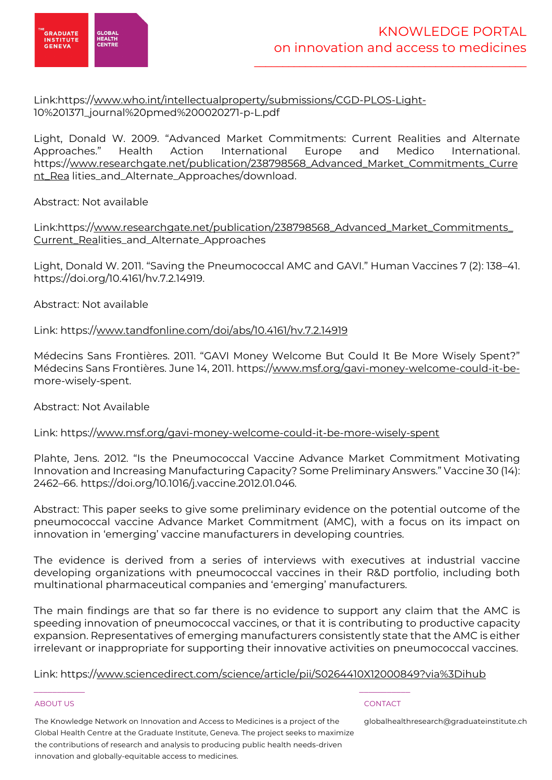

# Link:https://www.who.int/intellectualproperty/submissions/CGD-PLOS-Light-10%201371\_journal%20pmed%200020271-p-L.pdf

Light, Donald W. 2009. "Advanced Market Commitments: Current Realities and Alternate Approaches." Health Action International Europe and Medico International. https://www.researchgate.net/publication/238798568\_Advanced\_Market\_Commitments\_Curre nt\_Rea lities\_and\_Alternate\_Approaches/download.

# Abstract: Not available

Link:https://www.researchgate.net/publication/238798568\_Advanced\_Market\_Commitments\_ Current\_Realities\_and\_Alternate\_Approaches

Light, Donald W. 2011. "Saving the Pneumococcal AMC and GAVI." Human Vaccines 7 (2): 138–41. https://doi.org/10.4161/hv.7.2.14919.

Abstract: Not available

# Link: https://www.tandfonline.com/doi/abs/10.4161/hv.7.2.14919

Médecins Sans Frontières. 2011. "GAVI Money Welcome But Could It Be More Wisely Spent?" Médecins Sans Frontières. June 14, 2011. https://www.msf.org/gavi-money-welcome-could-it-bemore-wisely-spent.

# Abstract: Not Available

# Link: https://www.msf.org/gavi-money-welcome-could-it-be-more-wisely-spent

Plahte, Jens. 2012. "Is the Pneumococcal Vaccine Advance Market Commitment Motivating Innovation and Increasing Manufacturing Capacity? Some Preliminary Answers." Vaccine 30 (14): 2462–66. https://doi.org/10.1016/j.vaccine.2012.01.046.

Abstract: This paper seeks to give some preliminary evidence on the potential outcome of the pneumococcal vaccine Advance Market Commitment (AMC), with a focus on its impact on innovation in 'emerging' vaccine manufacturers in developing countries.

The evidence is derived from a series of interviews with executives at industrial vaccine developing organizations with pneumococcal vaccines in their R&D portfolio, including both multinational pharmaceutical companies and 'emerging' manufacturers.

The main findings are that so far there is no evidence to support any claim that the AMC is speeding innovation of pneumococcal vaccines, or that it is contributing to productive capacity expansion. Representatives of emerging manufacturers consistently state that the AMC is either irrelevant or inappropriate for supporting their innovative activities on pneumococcal vaccines.

Link: https://www.sciencedirect.com/science/article/pii/S0264410X12000849?via%3Dihub

### ABOUT US AND LOCAL CONTACT AND LOCAL CONTACT AND LOCAL CONTACT AND LOCAL CONTACT.

The Knowledge Network on Innovation and Access to Medicines is a project of the Global Health Centre at the Graduate Institute, Geneva. The project seeks to maximize the contributions of research and analysis to producing public health needs-driven innovation and globally-equitable access to medicines.

 $\frac{1}{2}$  , and the set of the set of the set of the set of the set of the set of the set of the set of the set of the set of the set of the set of the set of the set of the set of the set of the set of the set of the set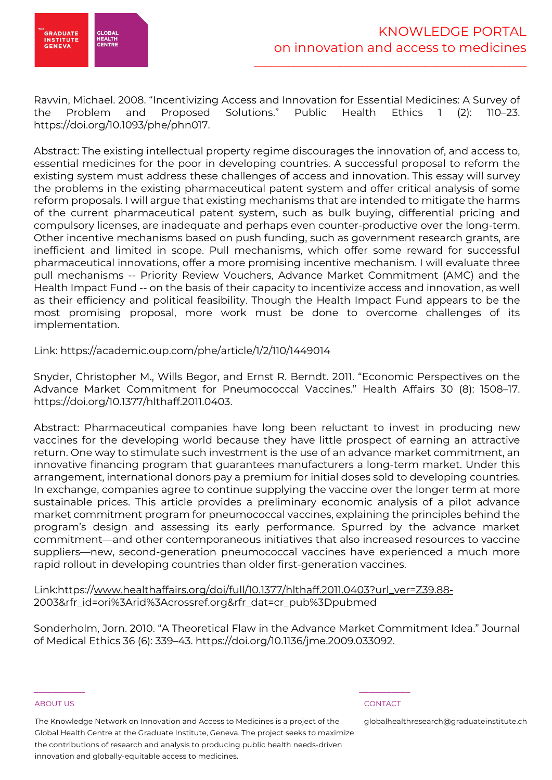

Ravvin, Michael. 2008. "Incentivizing Access and Innovation for Essential Medicines: A Survey of the Problem and Proposed Solutions." Public Health Ethics 1 (2): 110–23. https://doi.org/10.1093/phe/phn017.

Abstract: The existing intellectual property regime discourages the innovation of, and access to, essential medicines for the poor in developing countries. A successful proposal to reform the existing system must address these challenges of access and innovation. This essay will survey the problems in the existing pharmaceutical patent system and offer critical analysis of some reform proposals. I will argue that existing mechanisms that are intended to mitigate the harms of the current pharmaceutical patent system, such as bulk buying, differential pricing and compulsory licenses, are inadequate and perhaps even counter-productive over the long-term. Other incentive mechanisms based on push funding, such as government research grants, are inefficient and limited in scope. Pull mechanisms, which offer some reward for successful pharmaceutical innovations, offer a more promising incentive mechanism. I will evaluate three pull mechanisms -- Priority Review Vouchers, Advance Market Commitment (AMC) and the Health Impact Fund -- on the basis of their capacity to incentivize access and innovation, as well as their efficiency and political feasibility. Though the Health Impact Fund appears to be the most promising proposal, more work must be done to overcome challenges of its implementation.

# Link: https://academic.oup.com/phe/article/1/2/110/1449014

Snyder, Christopher M., Wills Begor, and Ernst R. Berndt. 2011. "Economic Perspectives on the Advance Market Commitment for Pneumococcal Vaccines." Health Affairs 30 (8): 1508–17. https://doi.org/10.1377/hlthaff.2011.0403.

Abstract: Pharmaceutical companies have long been reluctant to invest in producing new vaccines for the developing world because they have little prospect of earning an attractive return. One way to stimulate such investment is the use of an advance market commitment, an innovative financing program that guarantees manufacturers a long-term market. Under this arrangement, international donors pay a premium for initial doses sold to developing countries. In exchange, companies agree to continue supplying the vaccine over the longer term at more sustainable prices. This article provides a preliminary economic analysis of a pilot advance market commitment program for pneumococcal vaccines, explaining the principles behind the program's design and assessing its early performance. Spurred by the advance market commitment—and other contemporaneous initiatives that also increased resources to vaccine suppliers—new, second-generation pneumococcal vaccines have experienced a much more rapid rollout in developing countries than older first-generation vaccines.

Link:https://www.healthaffairs.org/doi/full/10.1377/hlthaff.2011.0403?url\_ver=Z39.88- 2003&rfr\_id=ori%3Arid%3Acrossref.org&rfr\_dat=cr\_pub%3Dpubmed

Sonderholm, Jorn. 2010. "A Theoretical Flaw in the Advance Market Commitment Idea." Journal of Medical Ethics 36 (6): 339–43. https://doi.org/10.1136/jme.2009.033092.

### ABOUT US CONTACT AND RESERVE THE RELEASE OF THE RELEASE OF THE RELEASE OF THE RELEASE OF THE RELEASE OF THE RELEASE OF THE RELEASE OF THE RELEASE OF THE RELEASE OF THE RELEASE OF THE RELEASE OF THE RELEASE OF THE RELEASE O

The Knowledge Network on Innovation and Access to Medicines is a project of the Global Health Centre at the Graduate Institute, Geneva. The project seeks to maximize the contributions of research and analysis to producing public health needs-driven innovation and globally-equitable access to medicines.

 $\frac{1}{2}$  , and the set of the set of the set of the set of the set of the set of the set of the set of the set of the set of the set of the set of the set of the set of the set of the set of the set of the set of the set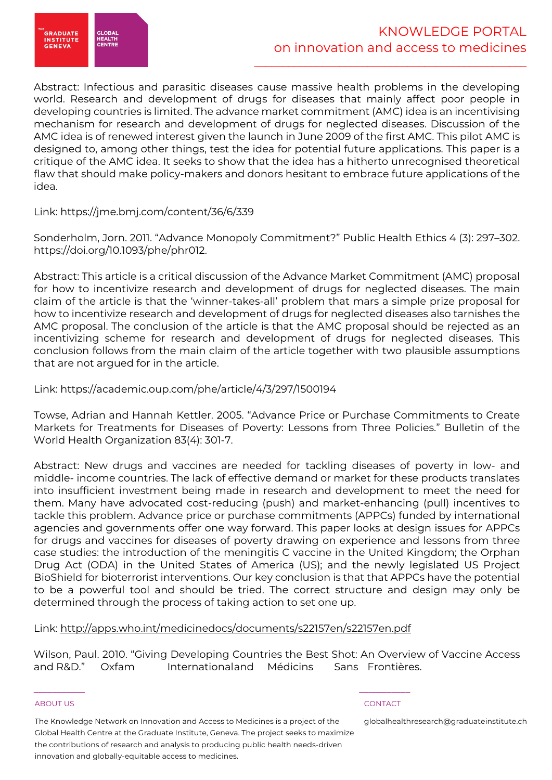

Abstract: Infectious and parasitic diseases cause massive health problems in the developing world. Research and development of drugs for diseases that mainly affect poor people in developing countries is limited. The advance market commitment (AMC) idea is an incentivising mechanism for research and development of drugs for neglected diseases. Discussion of the AMC idea is of renewed interest given the launch in June 2009 of the first AMC. This pilot AMC is designed to, among other things, test the idea for potential future applications. This paper is a critique of the AMC idea. It seeks to show that the idea has a hitherto unrecognised theoretical flaw that should make policy-makers and donors hesitant to embrace future applications of the idea.

# Link: https://jme.bmj.com/content/36/6/339

Sonderholm, Jorn. 2011. "Advance Monopoly Commitment?" Public Health Ethics 4 (3): 297–302. https://doi.org/10.1093/phe/phr012.

Abstract: This article is a critical discussion of the Advance Market Commitment (AMC) proposal for how to incentivize research and development of drugs for neglected diseases. The main claim of the article is that the 'winner-takes-all' problem that mars a simple prize proposal for how to incentivize research and development of drugs for neglected diseases also tarnishes the AMC proposal. The conclusion of the article is that the AMC proposal should be rejected as an incentivizing scheme for research and development of drugs for neglected diseases. This conclusion follows from the main claim of the article together with two plausible assumptions that are not argued for in the article.

# Link: https://academic.oup.com/phe/article/4/3/297/1500194

Towse, Adrian and Hannah Kettler. 2005. "Advance Price or Purchase Commitments to Create Markets for Treatments for Diseases of Poverty: Lessons from Three Policies." Bulletin of the World Health Organization 83(4): 301-7.

Abstract: New drugs and vaccines are needed for tackling diseases of poverty in low- and middle- income countries. The lack of effective demand or market for these products translates into insufficient investment being made in research and development to meet the need for them. Many have advocated cost-reducing (push) and market-enhancing (pull) incentives to tackle this problem. Advance price or purchase commitments (APPCs) funded by international agencies and governments offer one way forward. This paper looks at design issues for APPCs for drugs and vaccines for diseases of poverty drawing on experience and lessons from three case studies: the introduction of the meningitis C vaccine in the United Kingdom; the Orphan Drug Act (ODA) in the United States of America (US); and the newly legislated US Project BioShield for bioterrorist interventions. Our key conclusion is that that APPCs have the potential to be a powerful tool and should be tried. The correct structure and design may only be determined through the process of taking action to set one up.

# Link: http://apps.who.int/medicinedocs/documents/s22157en/s22157en.pdf

 $\frac{1}{2}$  , and the set of the set of the set of the set of the set of the set of the set of the set of the set of the set of the set of the set of the set of the set of the set of the set of the set of the set of the set

Wilson, Paul. 2010. "Giving Developing Countries the Best Shot: An Overview of Vaccine Access and R&D." Oxfam Internationaland Médicins Sans Frontières.

### ABOUT US CONTACT AND RESERVE THE RELEASE OF THE RELEASE OF THE RELEASE OF THE RELEASE OF THE RELEASE OF THE RELEASE OF THE RELEASE OF THE RELEASE OF THE RELEASE OF THE RELEASE OF THE RELEASE OF THE RELEASE OF THE RELEASE O

The Knowledge Network on Innovation and Access to Medicines is a project of the Global Health Centre at the Graduate Institute, Geneva. The project seeks to maximize the contributions of research and analysis to producing public health needs-driven innovation and globally-equitable access to medicines.